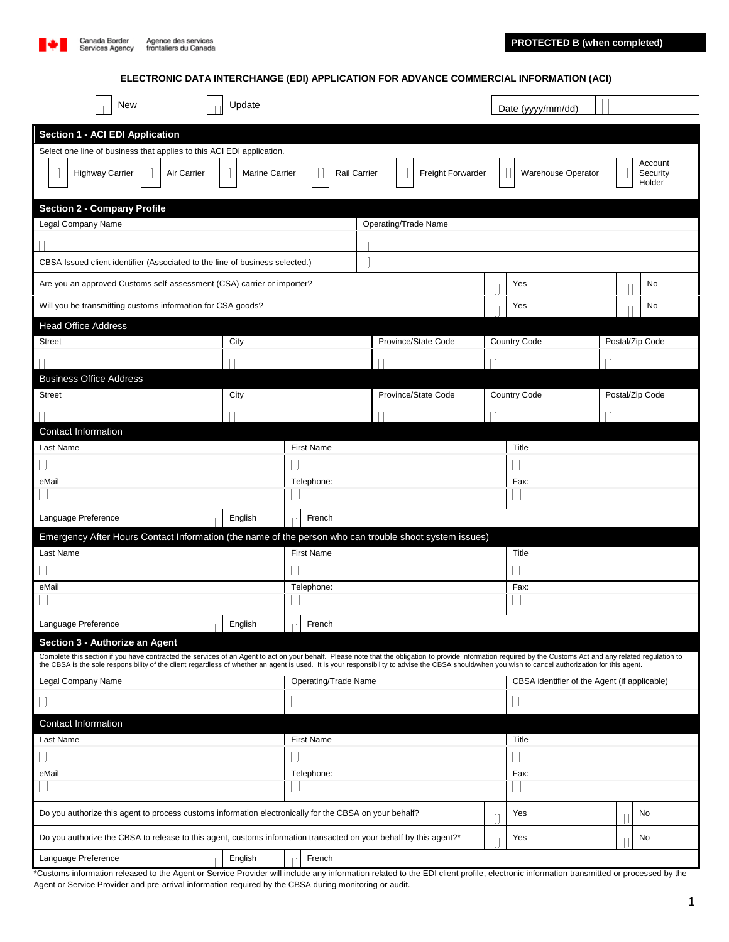

**ELECTRONIC DATA INTERCHANGE (EDI) APPLICATION FOR ADVANCE COMMERCIAL INFORMATION (ACI)**

| Update<br>New                                                                                                                                                                                                                                   |  |         |                      |                      |  |  | Date (yyyy/mm/dd)   |                     |                                              |              |                           |                 |  |                               |  |  |
|-------------------------------------------------------------------------------------------------------------------------------------------------------------------------------------------------------------------------------------------------|--|---------|----------------------|----------------------|--|--|---------------------|---------------------|----------------------------------------------|--------------|---------------------------|-----------------|--|-------------------------------|--|--|
| Section 1 - ACI EDI Application                                                                                                                                                                                                                 |  |         |                      |                      |  |  |                     |                     |                                              |              |                           |                 |  |                               |  |  |
| Select one line of business that applies to this ACI EDI application.                                                                                                                                                                           |  |         |                      |                      |  |  |                     |                     |                                              |              |                           |                 |  |                               |  |  |
| <b>Highway Carrier</b><br>Air Carrier<br>Marine Carrier                                                                                                                                                                                         |  |         | Rail Carrier         |                      |  |  |                     |                     | Freight Forwarder                            |              | <b>Warehouse Operator</b> |                 |  | Account<br>Security<br>Holder |  |  |
| <b>Section 2 - Company Profile</b>                                                                                                                                                                                                              |  |         |                      |                      |  |  |                     |                     |                                              |              |                           |                 |  |                               |  |  |
| Legal Company Name                                                                                                                                                                                                                              |  |         |                      | Operating/Trade Name |  |  |                     |                     |                                              |              |                           |                 |  |                               |  |  |
|                                                                                                                                                                                                                                                 |  |         |                      |                      |  |  |                     |                     |                                              |              |                           |                 |  |                               |  |  |
| CBSA Issued client identifier (Associated to the line of business selected.)                                                                                                                                                                    |  |         |                      |                      |  |  |                     |                     |                                              |              |                           |                 |  |                               |  |  |
| Are you an approved Customs self-assessment (CSA) carrier or importer?                                                                                                                                                                          |  |         |                      |                      |  |  |                     |                     | Yes                                          |              |                           | No              |  |                               |  |  |
| Will you be transmitting customs information for CSA goods?                                                                                                                                                                                     |  |         |                      |                      |  |  |                     |                     |                                              |              | Yes                       |                 |  | No                            |  |  |
| <b>Head Office Address</b>                                                                                                                                                                                                                      |  |         |                      |                      |  |  |                     |                     |                                              |              |                           |                 |  |                               |  |  |
| <b>Street</b>                                                                                                                                                                                                                                   |  | City    |                      |                      |  |  | Province/State Code |                     |                                              | Country Code | Postal/Zip Code           |                 |  |                               |  |  |
|                                                                                                                                                                                                                                                 |  |         |                      |                      |  |  |                     |                     |                                              |              |                           |                 |  |                               |  |  |
| <b>Business Office Address</b>                                                                                                                                                                                                                  |  |         |                      |                      |  |  |                     |                     |                                              |              |                           |                 |  |                               |  |  |
| <b>Street</b>                                                                                                                                                                                                                                   |  | City    |                      |                      |  |  |                     | Province/State Code |                                              |              | Country Code              | Postal/Zip Code |  |                               |  |  |
|                                                                                                                                                                                                                                                 |  |         |                      |                      |  |  |                     |                     |                                              |              |                           |                 |  |                               |  |  |
| <b>Contact Information</b>                                                                                                                                                                                                                      |  |         |                      |                      |  |  |                     |                     |                                              |              | Title                     |                 |  |                               |  |  |
| Last Name                                                                                                                                                                                                                                       |  |         | <b>First Name</b>    |                      |  |  |                     |                     |                                              |              |                           |                 |  |                               |  |  |
| eMail                                                                                                                                                                                                                                           |  |         | Telephone:           |                      |  |  |                     |                     |                                              |              | Fax:                      |                 |  |                               |  |  |
|                                                                                                                                                                                                                                                 |  |         |                      |                      |  |  |                     |                     |                                              |              |                           |                 |  |                               |  |  |
| Language Preference                                                                                                                                                                                                                             |  | English |                      | French               |  |  |                     |                     |                                              |              |                           |                 |  |                               |  |  |
| Emergency After Hours Contact Information (the name of the person who can trouble shoot system issues)                                                                                                                                          |  |         |                      |                      |  |  |                     |                     |                                              |              |                           |                 |  |                               |  |  |
| Last Name                                                                                                                                                                                                                                       |  |         |                      | <b>First Name</b>    |  |  |                     |                     |                                              |              | Title                     |                 |  |                               |  |  |
|                                                                                                                                                                                                                                                 |  |         |                      |                      |  |  |                     |                     |                                              |              |                           |                 |  |                               |  |  |
| eMail                                                                                                                                                                                                                                           |  |         | Telephone:           |                      |  |  |                     |                     |                                              |              | Fax:                      |                 |  |                               |  |  |
|                                                                                                                                                                                                                                                 |  |         |                      |                      |  |  |                     |                     |                                              |              |                           |                 |  |                               |  |  |
| English<br>Language Preference<br>- 11                                                                                                                                                                                                          |  |         |                      | French               |  |  |                     |                     |                                              |              |                           |                 |  |                               |  |  |
| Section 3 - Authorize an Agent<br>Complete this section if you have contracted the services of an Agent to act on your behalf. Please note that the obligation to provide information required by the Customs Act and any related regulation to |  |         |                      |                      |  |  |                     |                     |                                              |              |                           |                 |  |                               |  |  |
| the CBSA is the sole responsibility of the client regardless of whether an agent is used. It is your responsibility to advise the CBSA should/when you wish to cancel authorization for this agent.                                             |  |         |                      |                      |  |  |                     |                     |                                              |              |                           |                 |  |                               |  |  |
| Legal Company Name                                                                                                                                                                                                                              |  |         | Operating/Trade Name |                      |  |  |                     |                     | CBSA identifier of the Agent (if applicable) |              |                           |                 |  |                               |  |  |
|                                                                                                                                                                                                                                                 |  |         |                      |                      |  |  |                     |                     |                                              |              |                           |                 |  |                               |  |  |
| Contact Information                                                                                                                                                                                                                             |  |         |                      |                      |  |  |                     |                     |                                              |              |                           |                 |  |                               |  |  |
| Last Name                                                                                                                                                                                                                                       |  |         | <b>First Name</b>    |                      |  |  |                     |                     |                                              |              | Title                     |                 |  |                               |  |  |
|                                                                                                                                                                                                                                                 |  |         |                      |                      |  |  |                     |                     |                                              |              |                           |                 |  |                               |  |  |
| eMail                                                                                                                                                                                                                                           |  |         | Telephone:           |                      |  |  |                     |                     | Fax:                                         |              |                           |                 |  |                               |  |  |
| Do you authorize this agent to process customs information electronically for the CBSA on your behalf?                                                                                                                                          |  |         |                      |                      |  |  |                     |                     |                                              |              | Yes                       |                 |  | No                            |  |  |
|                                                                                                                                                                                                                                                 |  |         |                      |                      |  |  |                     |                     |                                              |              |                           |                 |  |                               |  |  |
| Do you authorize the CBSA to release to this agent, customs information transacted on your behalf by this agent?*                                                                                                                               |  |         |                      |                      |  |  |                     |                     |                                              |              | Yes                       |                 |  | No                            |  |  |
| Language Preference                                                                                                                                                                                                                             |  | English |                      | French               |  |  |                     |                     |                                              |              |                           |                 |  |                               |  |  |

\*Customs information released to the Agent or Service Provider will include any information related to the EDI client profile, electronic information transmitted or processed by the Agent or Service Provider and pre-arrival information required by the CBSA during monitoring or audit.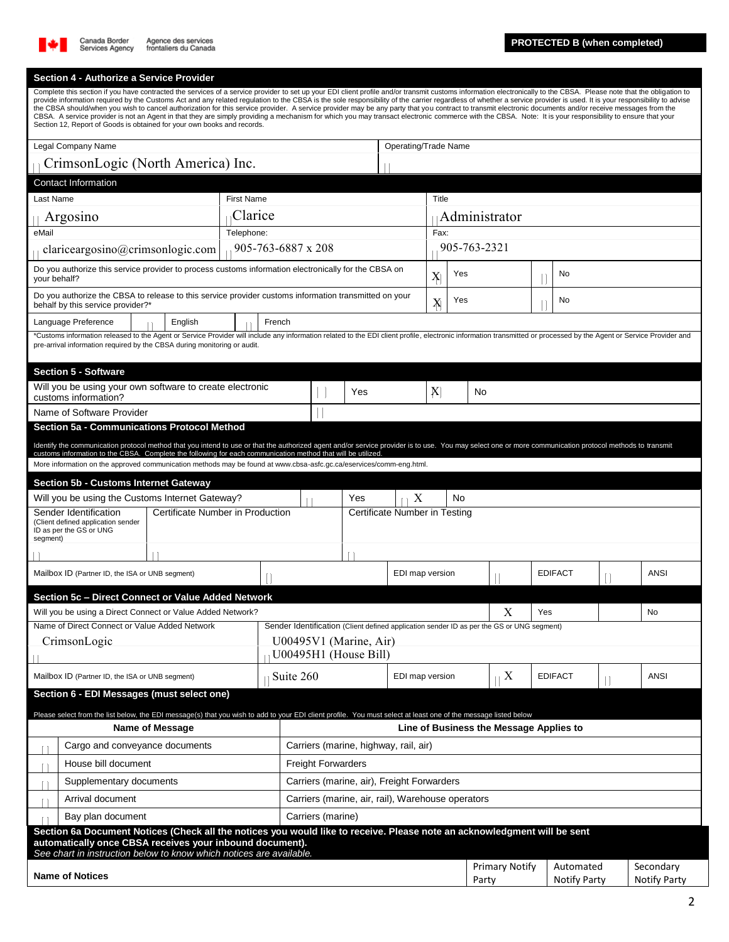

## **Section 4 - Authorize a Service Provider**

| Complete this section if you have contracted the services of a service provider to set up your EDI client profile and/or transmit customs information electronically to the CBSA. Please note that the obligation to<br>provide information required by the Customs Act and any related regulation to the CBSA is the sole responsibility of the carrier regardless of whether a service provider is used. It is your responsibility to advise<br>the CBSA should/when you wish to cancel authorization for this service provider. A service provider may be any party that you contract to transmit electronic documents and/or receive messages from the<br>CBSA. A service provider is not an Agent in that they are simply providing a mechanism for which you may transact electronic commerce with the CBSA. Note: It is your responsibility to ensure that your<br>Section 12, Report of Goods is obtained for your own books and records. |                   |                           |                                                   |     |                 |                                |                                                                                           |                                         |                           |                |             |                                  |  |
|---------------------------------------------------------------------------------------------------------------------------------------------------------------------------------------------------------------------------------------------------------------------------------------------------------------------------------------------------------------------------------------------------------------------------------------------------------------------------------------------------------------------------------------------------------------------------------------------------------------------------------------------------------------------------------------------------------------------------------------------------------------------------------------------------------------------------------------------------------------------------------------------------------------------------------------------------|-------------------|---------------------------|---------------------------------------------------|-----|-----------------|--------------------------------|-------------------------------------------------------------------------------------------|-----------------------------------------|---------------------------|----------------|-------------|----------------------------------|--|
| Legal Company Name                                                                                                                                                                                                                                                                                                                                                                                                                                                                                                                                                                                                                                                                                                                                                                                                                                                                                                                                |                   |                           |                                                   |     |                 | Operating/Trade Name           |                                                                                           |                                         |                           |                |             |                                  |  |
| CrimsonLogic (North America) Inc.                                                                                                                                                                                                                                                                                                                                                                                                                                                                                                                                                                                                                                                                                                                                                                                                                                                                                                                 |                   |                           |                                                   |     |                 |                                |                                                                                           |                                         |                           |                |             |                                  |  |
| <b>Contact Information</b>                                                                                                                                                                                                                                                                                                                                                                                                                                                                                                                                                                                                                                                                                                                                                                                                                                                                                                                        |                   |                           |                                                   |     |                 |                                |                                                                                           |                                         |                           |                |             |                                  |  |
| Last Name                                                                                                                                                                                                                                                                                                                                                                                                                                                                                                                                                                                                                                                                                                                                                                                                                                                                                                                                         | <b>First Name</b> |                           |                                                   |     |                 | Title                          |                                                                                           |                                         |                           |                |             |                                  |  |
| Argosino                                                                                                                                                                                                                                                                                                                                                                                                                                                                                                                                                                                                                                                                                                                                                                                                                                                                                                                                          | Clarice           |                           |                                                   |     |                 | Administrator                  |                                                                                           |                                         |                           |                |             |                                  |  |
| eMail                                                                                                                                                                                                                                                                                                                                                                                                                                                                                                                                                                                                                                                                                                                                                                                                                                                                                                                                             | Telephone:        |                           |                                                   |     |                 | Fax:                           |                                                                                           |                                         |                           |                |             |                                  |  |
| clariceargosino@crimsonlogic.com                                                                                                                                                                                                                                                                                                                                                                                                                                                                                                                                                                                                                                                                                                                                                                                                                                                                                                                  |                   | 905-763-6887 x 208        |                                                   |     | 905-763-2321    |                                |                                                                                           |                                         |                           |                |             |                                  |  |
| Do you authorize this service provider to process customs information electronically for the CBSA on<br>your behalf?                                                                                                                                                                                                                                                                                                                                                                                                                                                                                                                                                                                                                                                                                                                                                                                                                              |                   |                           |                                                   |     |                 |                                | No<br>Yes<br>X                                                                            |                                         |                           |                |             |                                  |  |
| Do you authorize the CBSA to release to this service provider customs information transmitted on your<br>behalf by this service provider?*                                                                                                                                                                                                                                                                                                                                                                                                                                                                                                                                                                                                                                                                                                                                                                                                        |                   |                           |                                                   |     |                 | X                              | Yes                                                                                       |                                         |                           | No             |             |                                  |  |
| Language Preference<br>English                                                                                                                                                                                                                                                                                                                                                                                                                                                                                                                                                                                                                                                                                                                                                                                                                                                                                                                    |                   | French                    |                                                   |     |                 |                                |                                                                                           |                                         |                           |                |             |                                  |  |
| *Customs information released to the Agent or Service Provider will include any information related to the EDI client profile, electronic information transmitted or processed by the Agent or Service Provider and<br>pre-arrival information required by the CBSA during monitoring or audit.                                                                                                                                                                                                                                                                                                                                                                                                                                                                                                                                                                                                                                                   |                   |                           |                                                   |     |                 |                                |                                                                                           |                                         |                           |                |             |                                  |  |
| <b>Section 5 - Software</b>                                                                                                                                                                                                                                                                                                                                                                                                                                                                                                                                                                                                                                                                                                                                                                                                                                                                                                                       |                   |                           |                                                   |     |                 |                                |                                                                                           |                                         |                           |                |             |                                  |  |
| Will you be using your own software to create electronic<br>customs information?                                                                                                                                                                                                                                                                                                                                                                                                                                                                                                                                                                                                                                                                                                                                                                                                                                                                  |                   |                           |                                                   | Yes | X<br>No         |                                |                                                                                           |                                         |                           |                |             |                                  |  |
| Name of Software Provider                                                                                                                                                                                                                                                                                                                                                                                                                                                                                                                                                                                                                                                                                                                                                                                                                                                                                                                         |                   |                           |                                                   |     |                 |                                |                                                                                           |                                         |                           |                |             |                                  |  |
| <b>Section 5a - Communications Protocol Method</b>                                                                                                                                                                                                                                                                                                                                                                                                                                                                                                                                                                                                                                                                                                                                                                                                                                                                                                |                   |                           |                                                   |     |                 |                                |                                                                                           |                                         |                           |                |             |                                  |  |
| Identify the communication protocol method that you intend to use or that the authorized agent and/or service provider is to use. You may select one or more communication protocol methods to transmit<br>customs information to the CBSA. Complete the following for each communication method that will be utilized                                                                                                                                                                                                                                                                                                                                                                                                                                                                                                                                                                                                                            |                   |                           |                                                   |     |                 |                                |                                                                                           |                                         |                           |                |             |                                  |  |
| More information on the approved communication methods may be found at www.cbsa-asfc.gc.ca/eservices/comm-eng.html.                                                                                                                                                                                                                                                                                                                                                                                                                                                                                                                                                                                                                                                                                                                                                                                                                               |                   |                           |                                                   |     |                 |                                |                                                                                           |                                         |                           |                |             |                                  |  |
| <b>Section 5b - Customs Internet Gateway</b>                                                                                                                                                                                                                                                                                                                                                                                                                                                                                                                                                                                                                                                                                                                                                                                                                                                                                                      |                   |                           |                                                   |     |                 |                                |                                                                                           |                                         |                           |                |             |                                  |  |
| X<br>Will you be using the Customs Internet Gateway?<br>Yes<br>No<br>Certificate Number in Production<br>Certificate Number in Testing                                                                                                                                                                                                                                                                                                                                                                                                                                                                                                                                                                                                                                                                                                                                                                                                            |                   |                           |                                                   |     |                 |                                |                                                                                           |                                         |                           |                |             |                                  |  |
| Sender Identification<br>(Client defined application sender<br>ID as per the GS or UNG<br>segment)                                                                                                                                                                                                                                                                                                                                                                                                                                                                                                                                                                                                                                                                                                                                                                                                                                                |                   |                           |                                                   |     |                 |                                |                                                                                           |                                         |                           |                |             |                                  |  |
|                                                                                                                                                                                                                                                                                                                                                                                                                                                                                                                                                                                                                                                                                                                                                                                                                                                                                                                                                   |                   |                           |                                                   |     |                 |                                |                                                                                           |                                         |                           |                |             |                                  |  |
| Mailbox ID (Partner ID, the ISA or UNB segment)                                                                                                                                                                                                                                                                                                                                                                                                                                                                                                                                                                                                                                                                                                                                                                                                                                                                                                   |                   |                           |                                                   |     |                 | EDI map version                |                                                                                           |                                         |                           | <b>EDIFACT</b> |             | ANSI                             |  |
| Section 5c – Direct Connect or Value Added Network                                                                                                                                                                                                                                                                                                                                                                                                                                                                                                                                                                                                                                                                                                                                                                                                                                                                                                |                   |                           |                                                   |     |                 |                                |                                                                                           |                                         |                           |                |             |                                  |  |
| Will you be using a Direct Connect or Value Added Network?                                                                                                                                                                                                                                                                                                                                                                                                                                                                                                                                                                                                                                                                                                                                                                                                                                                                                        |                   |                           |                                                   |     |                 |                                |                                                                                           | Х                                       | Yes                       |                |             | No                               |  |
| Name of Direct Connect or Value Added Network                                                                                                                                                                                                                                                                                                                                                                                                                                                                                                                                                                                                                                                                                                                                                                                                                                                                                                     |                   |                           |                                                   |     |                 |                                | Sender Identification (Client defined application sender ID as per the GS or UNG segment) |                                         |                           |                |             |                                  |  |
| CrimsonLogic                                                                                                                                                                                                                                                                                                                                                                                                                                                                                                                                                                                                                                                                                                                                                                                                                                                                                                                                      |                   |                           | U00495V1 (Marine, Air)<br>U00495H1 (House Bill)   |     |                 |                                |                                                                                           |                                         |                           |                |             |                                  |  |
| Mailbox ID (Partner ID, the ISA or UNB segment)                                                                                                                                                                                                                                                                                                                                                                                                                                                                                                                                                                                                                                                                                                                                                                                                                                                                                                   |                   | Suite 260                 |                                                   |     | EDI map version |                                | X                                                                                         |                                         | <b>EDIFACT</b>            |                | <b>ANSI</b> |                                  |  |
| Section 6 - EDI Messages (must select one)                                                                                                                                                                                                                                                                                                                                                                                                                                                                                                                                                                                                                                                                                                                                                                                                                                                                                                        |                   |                           |                                                   |     |                 |                                |                                                                                           |                                         |                           |                |             |                                  |  |
| Please select from the list below, the EDI message(s) that you wish to add to your EDI client profile. You must select at least one of the message listed below<br><b>Name of Message</b>                                                                                                                                                                                                                                                                                                                                                                                                                                                                                                                                                                                                                                                                                                                                                         |                   |                           |                                                   |     |                 |                                |                                                                                           | Line of Business the Message Applies to |                           |                |             |                                  |  |
| Carriers (marine, highway, rail, air)<br>Cargo and conveyance documents                                                                                                                                                                                                                                                                                                                                                                                                                                                                                                                                                                                                                                                                                                                                                                                                                                                                           |                   |                           |                                                   |     |                 |                                |                                                                                           |                                         |                           |                |             |                                  |  |
| House bill document                                                                                                                                                                                                                                                                                                                                                                                                                                                                                                                                                                                                                                                                                                                                                                                                                                                                                                                               |                   | <b>Freight Forwarders</b> |                                                   |     |                 |                                |                                                                                           |                                         |                           |                |             |                                  |  |
| Supplementary documents                                                                                                                                                                                                                                                                                                                                                                                                                                                                                                                                                                                                                                                                                                                                                                                                                                                                                                                           |                   |                           | Carriers (marine, air), Freight Forwarders        |     |                 |                                |                                                                                           |                                         |                           |                |             |                                  |  |
| Arrival document                                                                                                                                                                                                                                                                                                                                                                                                                                                                                                                                                                                                                                                                                                                                                                                                                                                                                                                                  |                   |                           | Carriers (marine, air, rail), Warehouse operators |     |                 |                                |                                                                                           |                                         |                           |                |             |                                  |  |
| Bay plan document                                                                                                                                                                                                                                                                                                                                                                                                                                                                                                                                                                                                                                                                                                                                                                                                                                                                                                                                 |                   | Carriers (marine)         |                                                   |     |                 |                                |                                                                                           |                                         |                           |                |             |                                  |  |
| Section 6a Document Notices (Check all the notices you would like to receive. Please note an acknowledgment will be sent<br>automatically once CBSA receives your inbound document).                                                                                                                                                                                                                                                                                                                                                                                                                                                                                                                                                                                                                                                                                                                                                              |                   |                           |                                                   |     |                 |                                |                                                                                           |                                         |                           |                |             |                                  |  |
| See chart in instruction below to know which notices are available.<br><b>Name of Notices</b>                                                                                                                                                                                                                                                                                                                                                                                                                                                                                                                                                                                                                                                                                                                                                                                                                                                     |                   |                           |                                                   |     |                 | <b>Primary Notify</b><br>Party |                                                                                           |                                         | Automated<br>Notify Party |                |             | Secondary<br><b>Notify Party</b> |  |